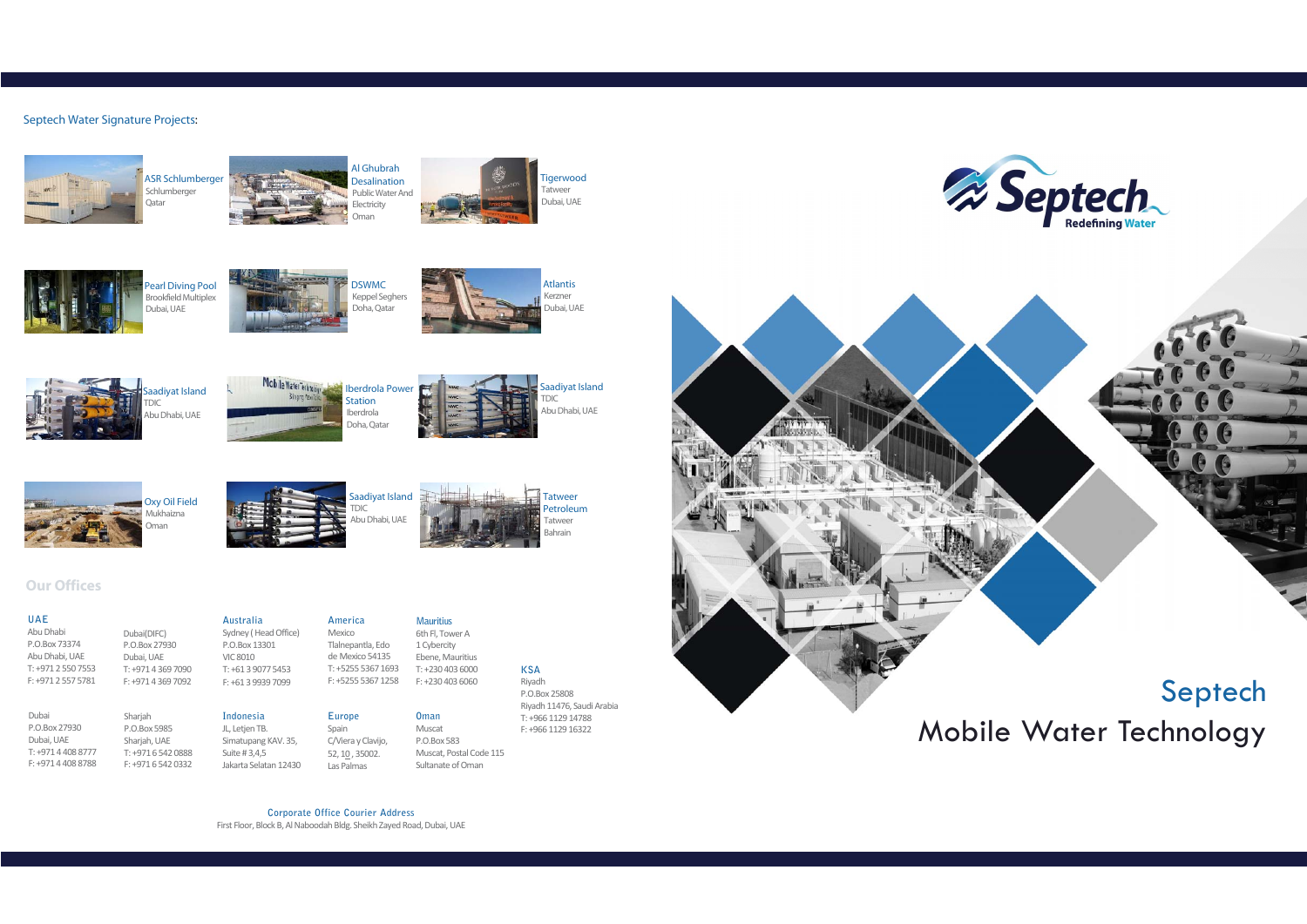

# Mobile Water Technology

# **Our Offices**

# **UAE**

 Abu Dhabi P.O.Box 73374 Abu Dhabi, UAE T: +971 2 550 7553F: +971 2 557 5781

Dubai(DIFC) P.O.Box 27930Dubai, UAE

Dubai P.O.Box <sup>27930</sup> Dubai, UAE T: +971 4 408 8777 F: +971 4 408 8788 Sharjah P.O.Box 5985Sharjah, UAE T: +971 6 542 0888F: +971 6 542 0332

 T: +971 4 369 7090 F: +971 4 369 7092**Australia** Sydney ( Head Office) P.O.Box 13301VIC 8010 T: +61 3 9077 5453 F: +61 3 9939 7099

T: +230 403 6000 F: +230 403 6060 6th Fl, Tower A 1 CybercityEbene, Mauritius

**Indonesia** JL, Letjen TB. Simatupang KAV. 35, Suite # 3,4,5 Jakarta Selatan 12430

ASR Schlumberger Schlumberger )atar



**Europe**Spain

Las Palmas



**KSA** Riyadh P.O.Box 25808 Riyadh 11476, Saudi ArabiaT: +966 1129 14788F: +966 1129 16322

aadiyat Island TDIC Abu Dhabi, UAE

 C/Viera y Clavijo, 52, 10 , 35002. **Oman** Muscat P.O.Box 583Muscat, Postal Code 115 Sultanate of Oman

**America**Mexico Tlalnepantla, Edo de Mexico 54135 T: +5255 5367 1693 F: +5255 5367 1258**Mauritius**

**Corporate Office Courier Address**First Floor, Block B, Al Naboodah Bldg. Sheikh Zayed Road, Dubai, UAE









# Septech Water Signature Projects:



Al Ghubrah Desalination Public Water And **Electricity** Oman









Saadiyat Island

TDIC

Abu Dhabi, UAE

Tatweer Petroleum**Tatweer** Bahrain